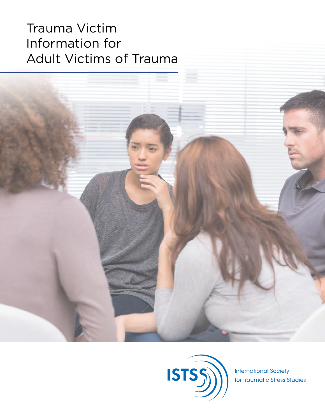# Trauma Victim Information for Adult Victims of Trauma





**International Society** for Traumatic Stress Studies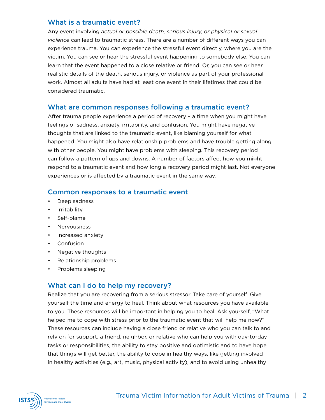### What is a traumatic event?

Any event involving *actual or possible death, serious injury, or physical or sexual violence* can lead to traumatic stress. There are a number of different ways you can experience trauma. You can experience the stressful event directly, where you are the victim. You can see or hear the stressful event happening to somebody else. You can learn that the event happened to a close relative or friend. Or, you can see or hear realistic details of the death, serious injury, or violence as part of your professional work. Almost all adults have had at least one event in their lifetimes that could be considered traumatic.

### What are common responses following a traumatic event?

After trauma people experience a period of recovery – a time when you might have feelings of sadness, anxiety, irritability, and confusion. You might have negative thoughts that are linked to the traumatic event, like blaming yourself for what happened. You might also have relationship problems and have trouble getting along with other people. You might have problems with sleeping. This recovery period can follow a pattern of ups and downs. A number of factors affect how you might respond to a traumatic event and how long a recovery period might last. Not everyone experiences or is affected by a traumatic event in the same way.

### Common responses to a traumatic event

- Deep sadness
- Irritability
- Self-blame
- Nervousness
- Increased anxiety
- Confusion
- Negative thoughts
- Relationship problems
- Problems sleeping

## What can I do to help my recovery?

Realize that you are recovering from a serious stressor. Take care of yourself. Give yourself the time and energy to heal. Think about what resources you have available to you. These resources will be important in helping you to heal. Ask yourself, "What helped me to cope with stress prior to the traumatic event that will help me now?" These resources can include having a close friend or relative who you can talk to and rely on for support, a friend, neighbor, or relative who can help you with day-to-day tasks or responsibilities, the ability to stay positive and optimistic and to have hope that things will get better, the ability to cope in healthy ways, like getting involved in healthy activities (e.g., art, music, physical activity), and to avoid using unhealthy